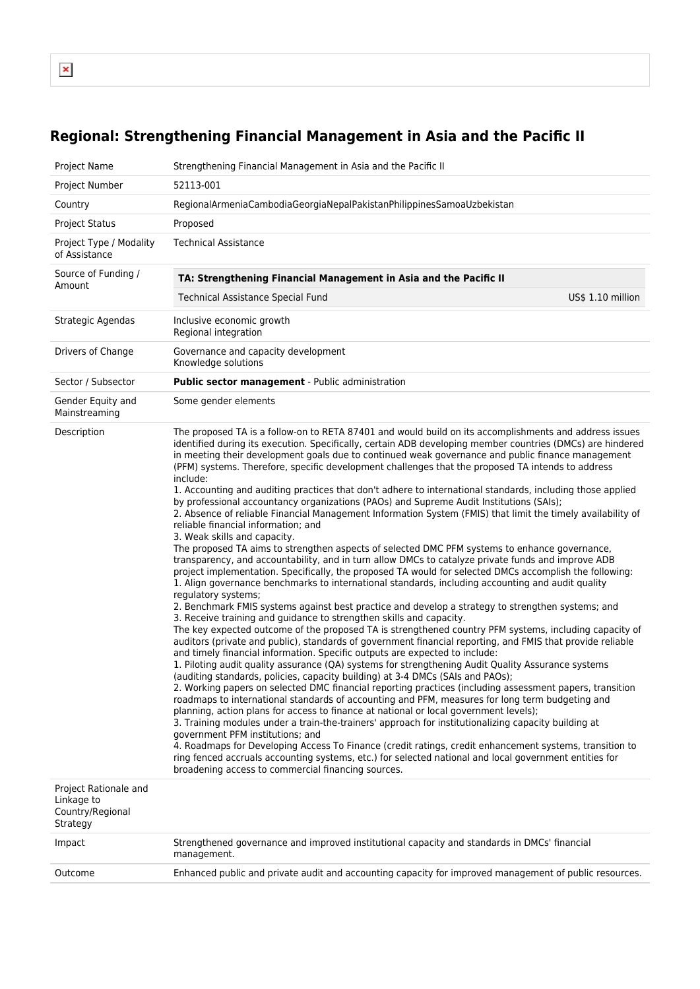$\pmb{\mathsf{x}}$ 

## **Regional: Strengthening Financial Management in Asia and the Pacific II**

| Project Name                                                        | Strengthening Financial Management in Asia and the Pacific II                                                                                                                                                                                                                                                                                                                                                                                                                                                                                                                                                                                                                                                                                                                                                                                                                                                                                                                                                                                                                                                                                                                                                                                                                                                                                                                                                                                                                                                                                                                                                                                                                                                                                                                                                                                                                                                                                                                                                                                                                                                                                                                                                                                                                                                                                                                                                                                                                                                                                                                                                                                                                                     |  |  |
|---------------------------------------------------------------------|---------------------------------------------------------------------------------------------------------------------------------------------------------------------------------------------------------------------------------------------------------------------------------------------------------------------------------------------------------------------------------------------------------------------------------------------------------------------------------------------------------------------------------------------------------------------------------------------------------------------------------------------------------------------------------------------------------------------------------------------------------------------------------------------------------------------------------------------------------------------------------------------------------------------------------------------------------------------------------------------------------------------------------------------------------------------------------------------------------------------------------------------------------------------------------------------------------------------------------------------------------------------------------------------------------------------------------------------------------------------------------------------------------------------------------------------------------------------------------------------------------------------------------------------------------------------------------------------------------------------------------------------------------------------------------------------------------------------------------------------------------------------------------------------------------------------------------------------------------------------------------------------------------------------------------------------------------------------------------------------------------------------------------------------------------------------------------------------------------------------------------------------------------------------------------------------------------------------------------------------------------------------------------------------------------------------------------------------------------------------------------------------------------------------------------------------------------------------------------------------------------------------------------------------------------------------------------------------------------------------------------------------------------------------------------------------------|--|--|
| Project Number                                                      | 52113-001                                                                                                                                                                                                                                                                                                                                                                                                                                                                                                                                                                                                                                                                                                                                                                                                                                                                                                                                                                                                                                                                                                                                                                                                                                                                                                                                                                                                                                                                                                                                                                                                                                                                                                                                                                                                                                                                                                                                                                                                                                                                                                                                                                                                                                                                                                                                                                                                                                                                                                                                                                                                                                                                                         |  |  |
| Country                                                             | RegionalArmeniaCambodiaGeorgiaNepalPakistanPhilippinesSamoaUzbekistan                                                                                                                                                                                                                                                                                                                                                                                                                                                                                                                                                                                                                                                                                                                                                                                                                                                                                                                                                                                                                                                                                                                                                                                                                                                                                                                                                                                                                                                                                                                                                                                                                                                                                                                                                                                                                                                                                                                                                                                                                                                                                                                                                                                                                                                                                                                                                                                                                                                                                                                                                                                                                             |  |  |
| <b>Project Status</b>                                               | Proposed                                                                                                                                                                                                                                                                                                                                                                                                                                                                                                                                                                                                                                                                                                                                                                                                                                                                                                                                                                                                                                                                                                                                                                                                                                                                                                                                                                                                                                                                                                                                                                                                                                                                                                                                                                                                                                                                                                                                                                                                                                                                                                                                                                                                                                                                                                                                                                                                                                                                                                                                                                                                                                                                                          |  |  |
| Project Type / Modality<br>of Assistance                            | <b>Technical Assistance</b>                                                                                                                                                                                                                                                                                                                                                                                                                                                                                                                                                                                                                                                                                                                                                                                                                                                                                                                                                                                                                                                                                                                                                                                                                                                                                                                                                                                                                                                                                                                                                                                                                                                                                                                                                                                                                                                                                                                                                                                                                                                                                                                                                                                                                                                                                                                                                                                                                                                                                                                                                                                                                                                                       |  |  |
| Source of Funding /<br>Amount                                       | TA: Strengthening Financial Management in Asia and the Pacific II                                                                                                                                                                                                                                                                                                                                                                                                                                                                                                                                                                                                                                                                                                                                                                                                                                                                                                                                                                                                                                                                                                                                                                                                                                                                                                                                                                                                                                                                                                                                                                                                                                                                                                                                                                                                                                                                                                                                                                                                                                                                                                                                                                                                                                                                                                                                                                                                                                                                                                                                                                                                                                 |  |  |
|                                                                     | US\$ 1.10 million<br><b>Technical Assistance Special Fund</b>                                                                                                                                                                                                                                                                                                                                                                                                                                                                                                                                                                                                                                                                                                                                                                                                                                                                                                                                                                                                                                                                                                                                                                                                                                                                                                                                                                                                                                                                                                                                                                                                                                                                                                                                                                                                                                                                                                                                                                                                                                                                                                                                                                                                                                                                                                                                                                                                                                                                                                                                                                                                                                     |  |  |
| Strategic Agendas                                                   | Inclusive economic growth<br>Regional integration                                                                                                                                                                                                                                                                                                                                                                                                                                                                                                                                                                                                                                                                                                                                                                                                                                                                                                                                                                                                                                                                                                                                                                                                                                                                                                                                                                                                                                                                                                                                                                                                                                                                                                                                                                                                                                                                                                                                                                                                                                                                                                                                                                                                                                                                                                                                                                                                                                                                                                                                                                                                                                                 |  |  |
| Drivers of Change                                                   | Governance and capacity development<br>Knowledge solutions                                                                                                                                                                                                                                                                                                                                                                                                                                                                                                                                                                                                                                                                                                                                                                                                                                                                                                                                                                                                                                                                                                                                                                                                                                                                                                                                                                                                                                                                                                                                                                                                                                                                                                                                                                                                                                                                                                                                                                                                                                                                                                                                                                                                                                                                                                                                                                                                                                                                                                                                                                                                                                        |  |  |
| Sector / Subsector                                                  | <b>Public sector management</b> - Public administration                                                                                                                                                                                                                                                                                                                                                                                                                                                                                                                                                                                                                                                                                                                                                                                                                                                                                                                                                                                                                                                                                                                                                                                                                                                                                                                                                                                                                                                                                                                                                                                                                                                                                                                                                                                                                                                                                                                                                                                                                                                                                                                                                                                                                                                                                                                                                                                                                                                                                                                                                                                                                                           |  |  |
| Gender Equity and<br>Mainstreaming                                  | Some gender elements                                                                                                                                                                                                                                                                                                                                                                                                                                                                                                                                                                                                                                                                                                                                                                                                                                                                                                                                                                                                                                                                                                                                                                                                                                                                                                                                                                                                                                                                                                                                                                                                                                                                                                                                                                                                                                                                                                                                                                                                                                                                                                                                                                                                                                                                                                                                                                                                                                                                                                                                                                                                                                                                              |  |  |
| Description                                                         | The proposed TA is a follow-on to RETA 87401 and would build on its accomplishments and address issues<br>identified during its execution. Specifically, certain ADB developing member countries (DMCs) are hindered<br>in meeting their development goals due to continued weak governance and public finance management<br>(PFM) systems. Therefore, specific development challenges that the proposed TA intends to address<br>include:<br>1. Accounting and auditing practices that don't adhere to international standards, including those applied<br>by professional accountancy organizations (PAOs) and Supreme Audit Institutions (SAIs);<br>2. Absence of reliable Financial Management Information System (FMIS) that limit the timely availability of<br>reliable financial information; and<br>3. Weak skills and capacity.<br>The proposed TA aims to strengthen aspects of selected DMC PFM systems to enhance governance,<br>transparency, and accountability, and in turn allow DMCs to catalyze private funds and improve ADB<br>project implementation. Specifically, the proposed TA would for selected DMCs accomplish the following:<br>1. Align governance benchmarks to international standards, including accounting and audit quality<br>regulatory systems;<br>2. Benchmark FMIS systems against best practice and develop a strategy to strengthen systems; and<br>3. Receive training and guidance to strengthen skills and capacity.<br>The key expected outcome of the proposed TA is strengthened country PFM systems, including capacity of<br>auditors (private and public), standards of government financial reporting, and FMIS that provide reliable<br>and timely financial information. Specific outputs are expected to include:<br>1. Piloting audit quality assurance (QA) systems for strengthening Audit Quality Assurance systems<br>(auditing standards, policies, capacity building) at 3-4 DMCs (SAIs and PAOs);<br>2. Working papers on selected DMC financial reporting practices (including assessment papers, transition<br>roadmaps to international standards of accounting and PFM, measures for long term budgeting and<br>planning, action plans for access to finance at national or local government levels);<br>3. Training modules under a train-the-trainers' approach for institutionalizing capacity building at<br>government PFM institutions; and<br>4. Roadmaps for Developing Access To Finance (credit ratings, credit enhancement systems, transition to<br>ring fenced accruals accounting systems, etc.) for selected national and local government entities for<br>broadening access to commercial financing sources. |  |  |
| Project Rationale and<br>Linkage to<br>Country/Regional<br>Strategy |                                                                                                                                                                                                                                                                                                                                                                                                                                                                                                                                                                                                                                                                                                                                                                                                                                                                                                                                                                                                                                                                                                                                                                                                                                                                                                                                                                                                                                                                                                                                                                                                                                                                                                                                                                                                                                                                                                                                                                                                                                                                                                                                                                                                                                                                                                                                                                                                                                                                                                                                                                                                                                                                                                   |  |  |
| Impact                                                              | Strengthened governance and improved institutional capacity and standards in DMCs' financial<br>management.                                                                                                                                                                                                                                                                                                                                                                                                                                                                                                                                                                                                                                                                                                                                                                                                                                                                                                                                                                                                                                                                                                                                                                                                                                                                                                                                                                                                                                                                                                                                                                                                                                                                                                                                                                                                                                                                                                                                                                                                                                                                                                                                                                                                                                                                                                                                                                                                                                                                                                                                                                                       |  |  |
| Outcome                                                             | Enhanced public and private audit and accounting capacity for improved management of public resources.                                                                                                                                                                                                                                                                                                                                                                                                                                                                                                                                                                                                                                                                                                                                                                                                                                                                                                                                                                                                                                                                                                                                                                                                                                                                                                                                                                                                                                                                                                                                                                                                                                                                                                                                                                                                                                                                                                                                                                                                                                                                                                                                                                                                                                                                                                                                                                                                                                                                                                                                                                                            |  |  |